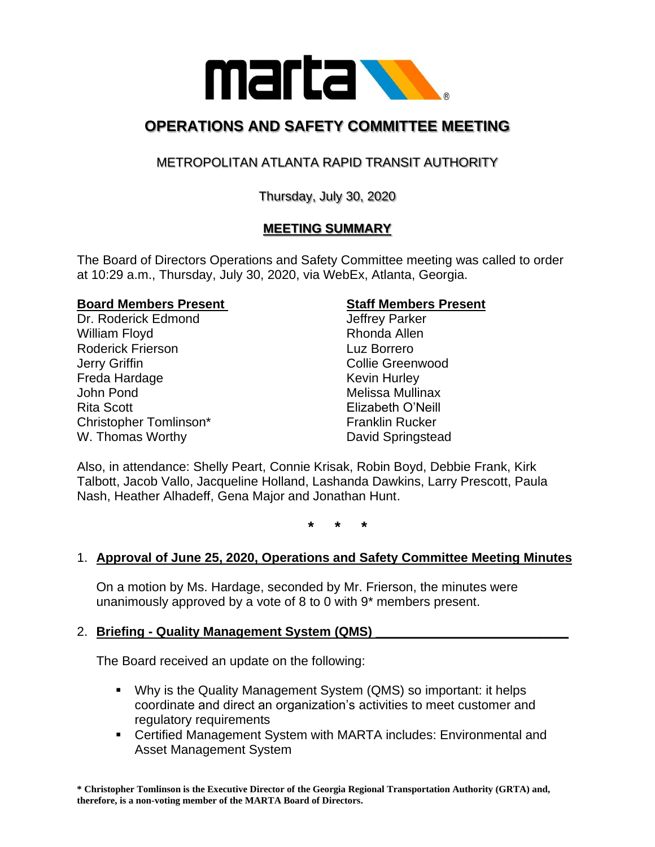

# **OPERATIONS AND SAFETY COMMITTEE MEETING**

## METROPOLITAN ATLANTA RAPID TRANSIT AUTHORITY

## Thursday, July 30, 2020

## **MEETING SUMMARY**

The Board of Directors Operations and Safety Committee meeting was called to order at 10:29 a.m., Thursday, July 30, 2020, via WebEx, Atlanta, Georgia.

#### **Board Members Present Staff Members Present**

Dr. Roderick Edmond Jeffrey Parker William Floyd **Rhonda Allen** Roderick Frierson Luz Borrero **Jerry Griffin Collie Greenwood** Freda Hardage **Keyin Hurley** Kevin Hurley John Pond **Melissa Mullinax** Rita Scott Elizabeth O'Neill Christopher Tomlinson\* Franklin Rucker W. Thomas Worthy **David Springstead** 

Also, in attendance: Shelly Peart, Connie Krisak, Robin Boyd, Debbie Frank, Kirk Talbott, Jacob Vallo, Jacqueline Holland, Lashanda Dawkins, Larry Prescott, Paula Nash, Heather Alhadeff, Gena Major and Jonathan Hunt.

**\* \* \***

### 1. **Approval of June 25, 2020, Operations and Safety Committee Meeting Minutes**

On a motion by Ms. Hardage, seconded by Mr. Frierson, the minutes were unanimously approved by a vote of 8 to 0 with 9\* members present.

#### 2. **Briefing - Quality Management System (QMS) \_\_\_\_\_\_\_\_\_\_\_\_\_\_\_\_\_\_\_\_\_\_\_\_\_\_\_**

The Board received an update on the following:

- Why is the Quality Management System (QMS) so important: it helps coordinate and direct an organization's activities to meet customer and regulatory requirements
- Certified Management System with MARTA includes: Environmental and Asset Management System